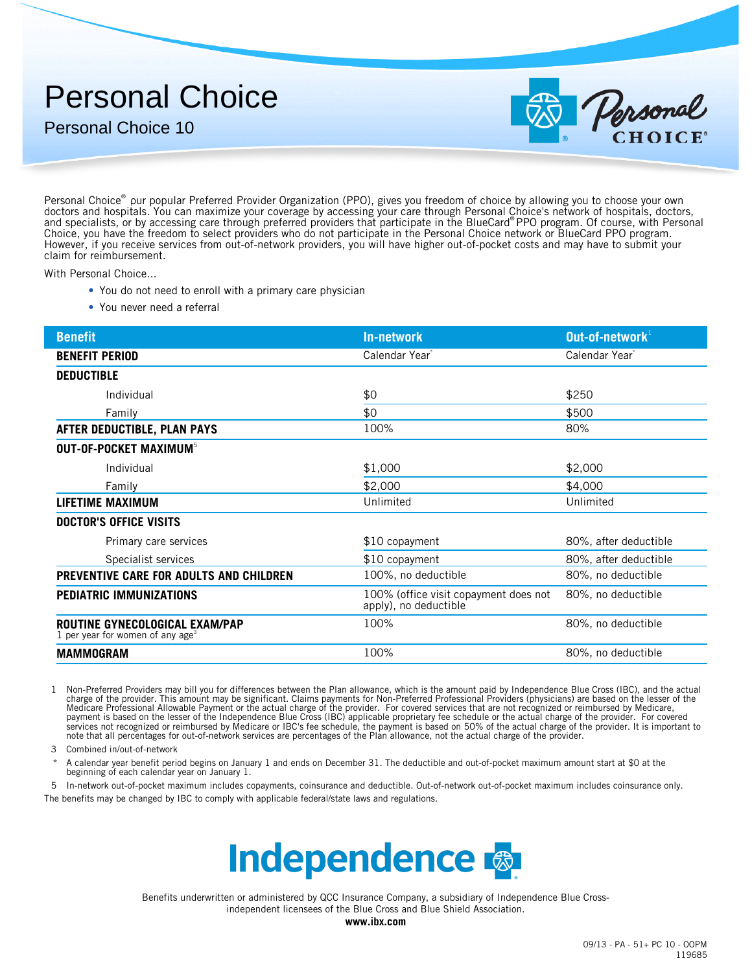## Personal Choice

Personal Choice 10



Personal Choice® pur popular Preferred Provider Organization (PPO), gives you freedom of choice by allowing you to choose your own doctors and hospitals. You can maximize your coverage by accessing your care through Personal Choice's network of hospitals, doctors, and specialists, or by accessing care through preferred providers that participate in the BlueCard® PPO program. Of course, with Personal Choice, you have the freedom to select providers who do not participate in the Personal Choice network or BlueCard PPO program. However, if you receive services from out-of-network providers, you will have higher out-of-pocket costs and may have to submit your claim for reimbursement.

With Personal Choice...

- You do not need to enroll with a primary care physician
- You never need a referral

| <b>Benefit</b>                                                                 | <b>In-network</b>                                              | Out-of-network $1$         |
|--------------------------------------------------------------------------------|----------------------------------------------------------------|----------------------------|
| <b>BENEFIT PERIOD</b>                                                          | Calendar Year <sup>®</sup>                                     | Calendar Year <sup>®</sup> |
| <b>DEDUCTIBLE</b>                                                              |                                                                |                            |
| Individual                                                                     | \$0                                                            | \$250                      |
| Family                                                                         | \$0                                                            | \$500                      |
| AFTER DEDUCTIBLE, PLAN PAYS                                                    | 100%                                                           | 80%                        |
| <b>OUT-OF-POCKET MAXIMUM<sup>5</sup></b>                                       |                                                                |                            |
| Individual                                                                     | \$1,000                                                        | \$2,000                    |
| Family                                                                         | \$2,000                                                        | \$4,000                    |
| LIFETIME MAXIMUM                                                               | Unlimited                                                      | Unlimited                  |
| <b>DOCTOR'S OFFICE VISITS</b>                                                  |                                                                |                            |
| Primary care services                                                          | \$10 copayment                                                 | 80%, after deductible      |
| Specialist services                                                            | \$10 copayment                                                 | 80%, after deductible      |
| PREVENTIVE CARE FOR ADULTS AND CHILDREN                                        | 100%, no deductible                                            | 80%, no deductible         |
| PEDIATRIC IMMUNIZATIONS                                                        | 100% (office visit copayment does not<br>apply), no deductible | 80%, no deductible         |
| ROUTINE GYNECOLOGICAL EXAM/PAP<br>1 per year for women of any age <sup>3</sup> | 100%                                                           | 80%, no deductible         |
| <b>MAMMOGRAM</b>                                                               | 100%                                                           | 80%, no deductible         |

1 Non-Preferred Providers may bill you for differences between the Plan allowance, which is the amount paid by Independence Blue Cross (IBC), and the actual charge of the provider. This amount may be significant. Claims payments for Non-Preferred Professional Providers (physicians) are based on the lesser of the Medicare Professional Allowable Payment or the actual charge of the provider. For covered services that are not recognized or reimbursed by Medicare,<br>payment is based on the lesser of the Independence Blue Cross (IBC) appl

3 Combined in/out-of-network

A calendar year benefit period begins on January 1 and ends on December 31. The deductible and out-of-pocket maximum amount start at \$0 at the beginning of each calendar year on January 1.

5 In-network out-of-pocket maximum includes copayments, coinsurance and deductible. Out-of-network out-of-pocket maximum includes coinsurance only. The benefits may be changed by IBC to comply with applicable federal/state laws and regulations.



independent licensees of the Blue Cross and Blue Shield Association. Benefits underwritten or administered by QCC Insurance Company, a subsidiary of Independence Blue Cross-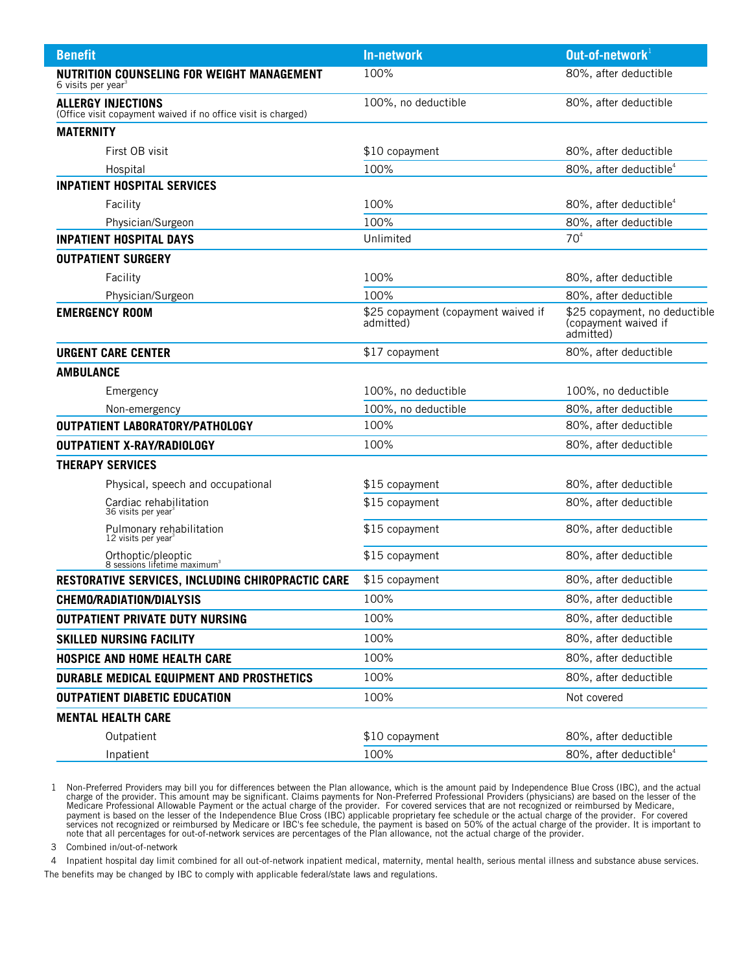| <b>Benefit</b>                                                                             | In-network                                       | Out-of-network $1$                                                 |  |
|--------------------------------------------------------------------------------------------|--------------------------------------------------|--------------------------------------------------------------------|--|
| NUTRITION COUNSELING FOR WEIGHT MANAGEMENT<br>6 visits per year <sup>3</sup>               | 100%                                             | 80%, after deductible                                              |  |
| <b>ALLERGY INJECTIONS</b><br>(Office visit copayment waived if no office visit is charged) | 100%, no deductible                              | 80%, after deductible                                              |  |
| <b>MATERNITY</b>                                                                           |                                                  |                                                                    |  |
| First OB visit                                                                             | \$10 copayment                                   | 80%, after deductible                                              |  |
| Hospital                                                                                   | 100%                                             | 80%, after deductible <sup>4</sup>                                 |  |
| <b>INPATIENT HOSPITAL SERVICES</b>                                                         |                                                  |                                                                    |  |
| Facility                                                                                   | 100%                                             | 80%, after deductible <sup>4</sup>                                 |  |
| Physician/Surgeon                                                                          | 100%                                             | 80%, after deductible                                              |  |
| <b>INPATIENT HOSPITAL DAYS</b>                                                             | Unlimited                                        | 70 <sup>4</sup>                                                    |  |
| <b>OUTPATIENT SURGERY</b>                                                                  |                                                  |                                                                    |  |
| Facility                                                                                   | 100%                                             | 80%, after deductible                                              |  |
| Physician/Surgeon                                                                          | 100%                                             | 80%, after deductible                                              |  |
| <b>EMERGENCY ROOM</b>                                                                      | \$25 copayment (copayment waived if<br>admitted) | \$25 copayment, no deductible<br>(copayment waived if<br>admitted) |  |
| <b>URGENT CARE CENTER</b>                                                                  | \$17 copayment                                   | 80%, after deductible                                              |  |
| <b>AMBULANCE</b>                                                                           |                                                  |                                                                    |  |
| Emergency                                                                                  | 100%, no deductible                              | 100%, no deductible                                                |  |
| Non-emergency                                                                              | 100%, no deductible                              | 80%, after deductible                                              |  |
| OUTPATIENT LABORATORY/PATHOLOGY                                                            | 100%                                             | 80%, after deductible                                              |  |
| <b>OUTPATIENT X-RAY/RADIOLOGY</b>                                                          | 100%                                             | 80%, after deductible                                              |  |
| <b>THERAPY SERVICES</b>                                                                    |                                                  |                                                                    |  |
| Physical, speech and occupational                                                          | \$15 copayment                                   | 80%, after deductible                                              |  |
| Cardiac rehabilitation<br>36 visits per year <sup>3</sup>                                  | \$15 copayment                                   | 80%, after deductible                                              |  |
| Pulmonary rehabilitation<br>12 visits per year <sup>3</sup>                                | \$15 copayment                                   | 80%, after deductible                                              |  |
| Orthoptic/pleoptic<br>8 sessions lifetime maximum <sup>3</sup>                             | \$15 copayment                                   | 80%, after deductible                                              |  |
| RESTORATIVE SERVICES, INCLUDING CHIROPRACTIC CARE                                          | \$15 copayment                                   | 80%, after deductible                                              |  |
| <b>CHEMO/RADIATION/DIALYSIS</b>                                                            | 100%                                             | 80%, after deductible                                              |  |
| <b>OUTPATIENT PRIVATE DUTY NURSING</b>                                                     | 100%                                             | 80%, after deductible                                              |  |
| <b>SKILLED NURSING FACILITY</b>                                                            | 100%                                             | 80%, after deductible                                              |  |
| <b>HOSPICE AND HOME HEALTH CARE</b>                                                        | 100%                                             | 80%, after deductible                                              |  |
| DURABLE MEDICAL EQUIPMENT AND PROSTHETICS                                                  | 100%                                             | 80%, after deductible                                              |  |
| <b>OUTPATIENT DIABETIC EDUCATION</b>                                                       | 100%                                             | Not covered                                                        |  |
| <b>MENTAL HEALTH CARE</b>                                                                  |                                                  |                                                                    |  |
| Outpatient                                                                                 | \$10 copayment                                   | 80%, after deductible                                              |  |
| Inpatient                                                                                  | 100%                                             | 80%, after deductible <sup>4</sup>                                 |  |

1 Non-Preferred Providers may bill you for differences between the Plan allowance, which is the amount paid by Independence Blue Cross (IBC), and the actual charge of the provider. This amount may be significant. Claims pa

3 Combined in/out-of-network

4 Inpatient hospital day limit combined for all out-of-network inpatient medical, maternity, mental health, serious mental illness and substance abuse services. The benefits may be changed by IBC to comply with applicable federal/state laws and regulations.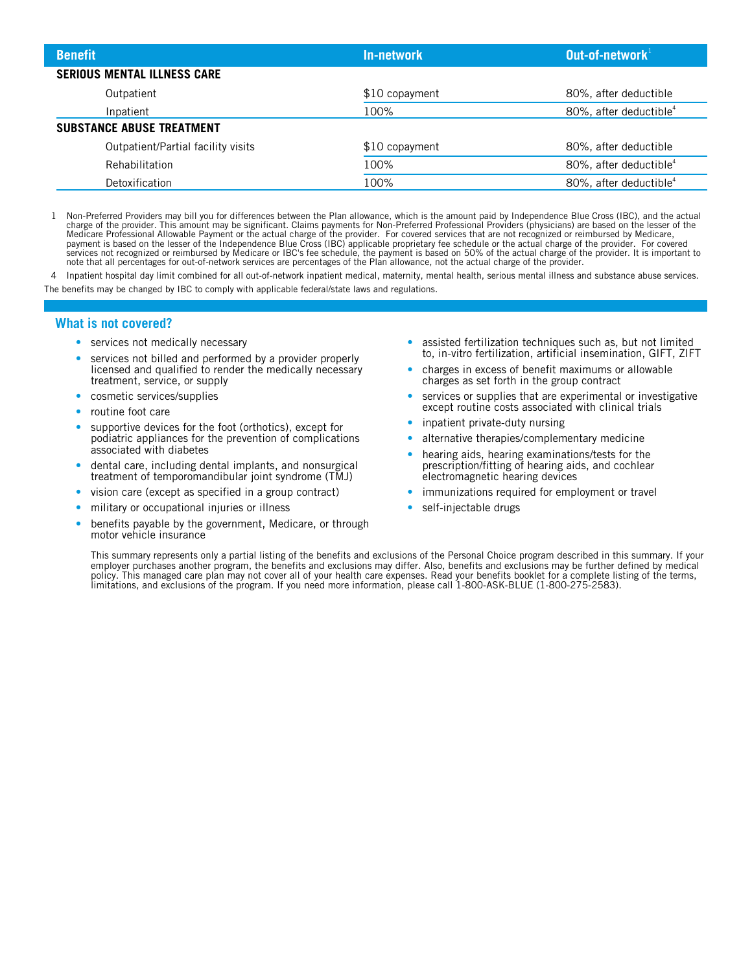| <b>Benefit</b>                     | In-network     | Out-of-network $1$                 |
|------------------------------------|----------------|------------------------------------|
| <b>SERIOUS MENTAL ILLNESS CARE</b> |                |                                    |
| Outpatient                         | \$10 copayment | 80%, after deductible              |
| Inpatient                          | 100%           | 80%, after deductible <sup>4</sup> |
| <b>SUBSTANCE ABUSE TREATMENT</b>   |                |                                    |
| Outpatient/Partial facility visits | \$10 copayment | 80%, after deductible              |
| Rehabilitation                     | 100%           | 80%, after deductible <sup>4</sup> |
| Detoxification                     | 100%           | 80%, after deductible <sup>4</sup> |

1 Non-Preferred Providers may bill you for differences between the Plan allowance, which is the amount paid by Independence Blue Cross (IBC), and the actual<br>charge of the provider. This amount may be significant. Claims pa note that all percentages for out-of-network services are percentages of the Plan allowance, not the actual charge of the provider.

4 Inpatient hospital day limit combined for all out-of-network inpatient medical, maternity, mental health, serious mental illness and substance abuse services. The benefits may be changed by IBC to comply with applicable federal/state laws and regulations.

## **What is not covered?**

- services not medically necessary
- services not billed and performed by a provider properly licensed and qualified to render the medically necessary treatment, service, or supply
- cosmetic services/supplies
- routine foot care
- supportive devices for the foot (orthotics), except for podiatric appliances for the prevention of complications associated with diabetes
- dental care, including dental implants, and nonsurgical treatment of temporomandibular joint syndrome (TMJ)
- vision care (except as specified in a group contract)
- military or occupational injuries or illness
- benefits payable by the government, Medicare, or through motor vehicle insurance
- assisted fertilization techniques such as, but not limited to, in-vitro fertilization, artificial insemination, GIFT, ZIFT
- charges in excess of benefit maximums or allowable charges as set forth in the group contract
- services or supplies that are experimental or investigative except routine costs associated with clinical trials
- inpatient private-duty nursing
- alternative therapies/complementary medicine
- hearing aids, hearing examinations/tests for the prescription/fitting of hearing aids, and cochlear electromagnetic hearing devices
- immunizations required for employment or travel
- self-injectable drugs

This summary represents only a partial listing of the benefits and exclusions of the Personal Choice program described in this summary. If your employer purchases another program, the benefits and exclusions may differ. Also, benefits and exclusions may be further defined by medical policy. This managed care plan may not cover all of your health care expenses. Read your benefits booklet for a complete listing of the terms, limitations, and exclusions of the program. If you need more information, please call 1-800-ASK-BLUE (1-800-275-2583).